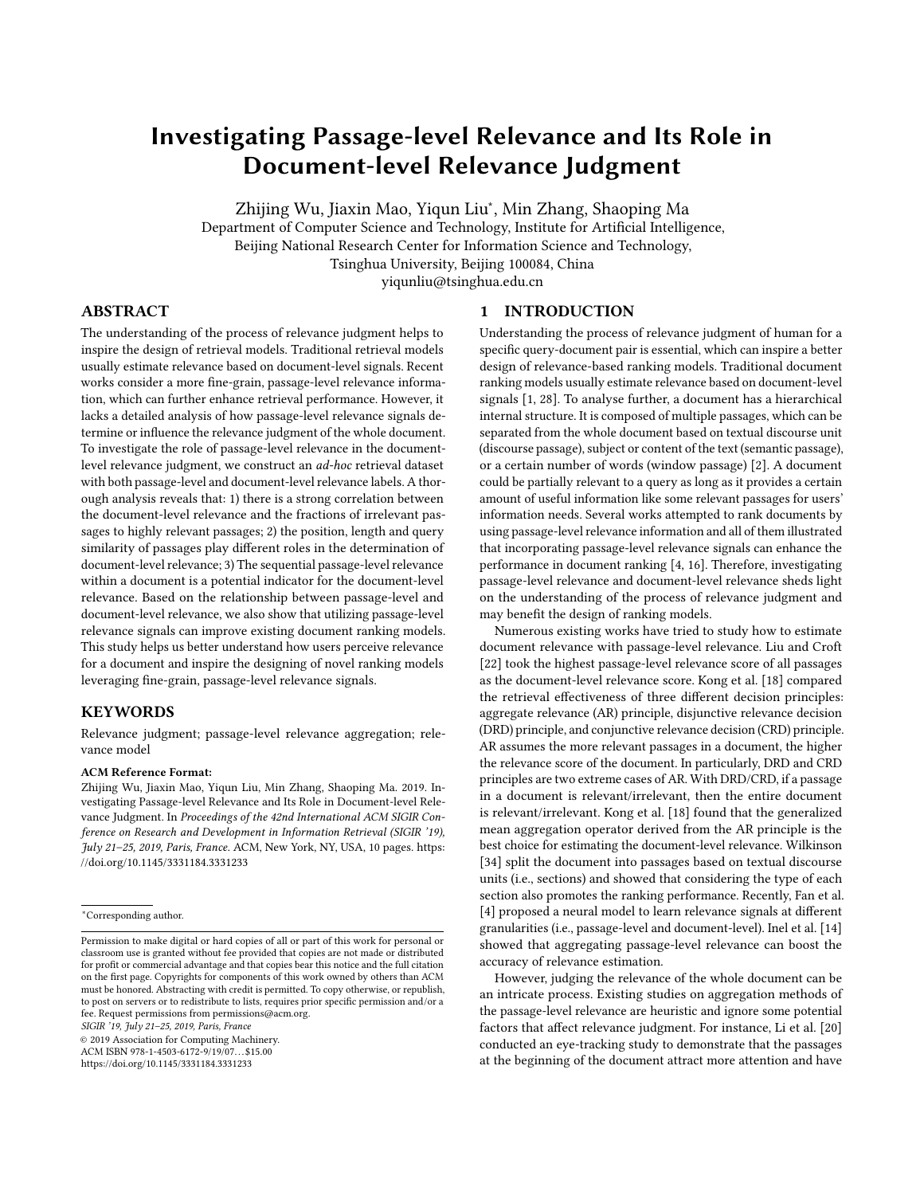# <span id="page-0-0"></span>Investigating Passage-level Relevance and Its Role in Document-level Relevance Judgment

Zhijing Wu, Jiaxin Mao, Yiqun Liu<sup>∗</sup> , Min Zhang, Shaoping Ma

Department of Computer Science and Technology, Institute for Artificial Intelligence,

Beijing National Research Center for Information Science and Technology,

Tsinghua University, Beijing 100084, China

yiqunliu@tsinghua.edu.cn

## ABSTRACT

The understanding of the process of relevance judgment helps to inspire the design of retrieval models. Traditional retrieval models usually estimate relevance based on document-level signals. Recent works consider a more fine-grain, passage-level relevance information, which can further enhance retrieval performance. However, it lacks a detailed analysis of how passage-level relevance signals determine or influence the relevance judgment of the whole document. To investigate the role of passage-level relevance in the documentlevel relevance judgment, we construct an ad-hoc retrieval dataset with both passage-level and document-level relevance labels. A thorough analysis reveals that: 1) there is a strong correlation between the document-level relevance and the fractions of irrelevant passages to highly relevant passages; 2) the position, length and query similarity of passages play different roles in the determination of document-level relevance; 3) The sequential passage-level relevance within a document is a potential indicator for the document-level relevance. Based on the relationship between passage-level and document-level relevance, we also show that utilizing passage-level relevance signals can improve existing document ranking models. This study helps us better understand how users perceive relevance for a document and inspire the designing of novel ranking models leveraging fine-grain, passage-level relevance signals.

#### KEYWORDS

Relevance judgment; passage-level relevance aggregation; relevance model

#### ACM Reference Format:

Zhijing Wu, Jiaxin Mao, Yiqun Liu, Min Zhang, Shaoping Ma. 2019. Investigating Passage-level Relevance and Its Role in Document-level Relevance Judgment. In Proceedings of the 42nd International ACM SIGIR Conference on Research and Development in Information Retrieval (SIGIR '19), July 21–25, 2019, Paris, France. ACM, New York, NY, USA, [10](#page-9-0) pages. [https:](https://doi.org/10.1145/3331184.3331233) [//doi.org/10.1145/3331184.3331233](https://doi.org/10.1145/3331184.3331233)

SIGIR '19, July 21–25, 2019, Paris, France

© 2019 Association for Computing Machinery.

ACM ISBN 978-1-4503-6172-9/19/07. . . \$15.00 <https://doi.org/10.1145/3331184.3331233>

#### 1 INTRODUCTION

Understanding the process of relevance judgment of human for a specific query-document pair is essential, which can inspire a better design of relevance-based ranking models. Traditional document ranking models usually estimate relevance based on document-level signals [\[1,](#page-9-1) [28\]](#page-9-2). To analyse further, a document has a hierarchical internal structure. It is composed of multiple passages, which can be separated from the whole document based on textual discourse unit (discourse passage), subject or content of the text (semantic passage), or a certain number of words (window passage) [\[2\]](#page-9-3). A document could be partially relevant to a query as long as it provides a certain amount of useful information like some relevant passages for users' information needs. Several works attempted to rank documents by using passage-level relevance information and all of them illustrated that incorporating passage-level relevance signals can enhance the performance in document ranking [\[4,](#page-9-4) [16\]](#page-9-5). Therefore, investigating passage-level relevance and document-level relevance sheds light on the understanding of the process of relevance judgment and may benefit the design of ranking models.

Numerous existing works have tried to study how to estimate document relevance with passage-level relevance. Liu and Croft [\[22\]](#page-9-6) took the highest passage-level relevance score of all passages as the document-level relevance score. Kong et al. [\[18\]](#page-9-7) compared the retrieval effectiveness of three different decision principles: aggregate relevance (AR) principle, disjunctive relevance decision (DRD) principle, and conjunctive relevance decision (CRD) principle. AR assumes the more relevant passages in a document, the higher the relevance score of the document. In particularly, DRD and CRD principles are two extreme cases of AR. With DRD/CRD, if a passage in a document is relevant/irrelevant, then the entire document is relevant/irrelevant. Kong et al. [\[18\]](#page-9-7) found that the generalized mean aggregation operator derived from the AR principle is the best choice for estimating the document-level relevance. Wilkinson [\[34\]](#page-9-8) split the document into passages based on textual discourse units (i.e., sections) and showed that considering the type of each section also promotes the ranking performance. Recently, Fan et al. [\[4\]](#page-9-4) proposed a neural model to learn relevance signals at different granularities (i.e., passage-level and document-level). Inel et al. [\[14\]](#page-9-9) showed that aggregating passage-level relevance can boost the accuracy of relevance estimation.

However, judging the relevance of the whole document can be an intricate process. Existing studies on aggregation methods of the passage-level relevance are heuristic and ignore some potential factors that affect relevance judgment. For instance, Li et al. [\[20\]](#page-9-10) conducted an eye-tracking study to demonstrate that the passages at the beginning of the document attract more attention and have

 $^\ast$  Corresponding author.

Permission to make digital or hard copies of all or part of this work for personal or classroom use is granted without fee provided that copies are not made or distributed for profit or commercial advantage and that copies bear this notice and the full citation on the first page. Copyrights for components of this work owned by others than ACM must be honored. Abstracting with credit is permitted. To copy otherwise, or republish, to post on servers or to redistribute to lists, requires prior specific permission and/or a fee. Request permissions from permissions@acm.org.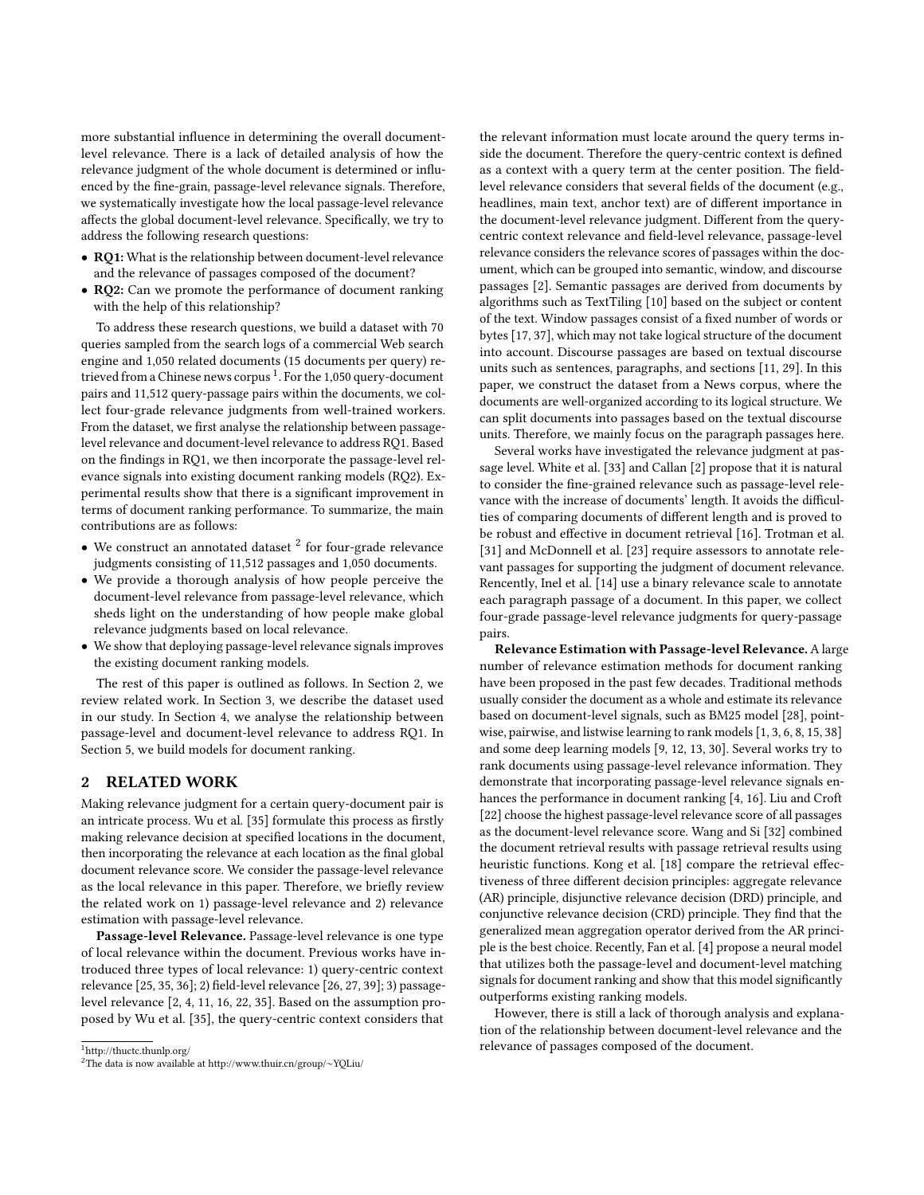more substantial influence in determining the overall documentlevel relevance. There is a lack of detailed analysis of how the relevance judgment of the whole document is determined or influenced by the fine-grain, passage-level relevance signals. Therefore, we systematically investigate how the local passage-level relevance affects the global document-level relevance. Specifically, we try to address the following research questions:

- RQ1: What is the relationship between document-level relevance and the relevance of passages composed of the document?
- RQ2: Can we promote the performance of document ranking with the help of this relationship?

To address these research questions, we build a dataset with 70 queries sampled from the search logs of a commercial Web search engine and 1,050 related documents (15 documents per query) re-trieved from a Chinese news corpus <sup>[1](#page-0-0)</sup>. For the 1,050 query-document pairs and 11,512 query-passage pairs within the documents, we collect four-grade relevance judgments from well-trained workers. From the dataset, we first analyse the relationship between passagelevel relevance and document-level relevance to address RQ1. Based on the findings in RQ1, we then incorporate the passage-level relevance signals into existing document ranking models (RQ2). Experimental results show that there is a signicant improvement in terms of document ranking performance. To summarize, the main contributions are as follows:

- $\bullet\,$  We construct an annotated dataset  $^2$  $^2$  for four-grade relevance judgments consisting of 11,512 passages and 1,050 documents.
- We provide a thorough analysis of how people perceive the document-level relevance from passage-level relevance, which sheds light on the understanding of how people make global relevance judgments based on local relevance.
- We show that deploying passage-level relevance signals improves the existing document ranking models.

The rest of this paper is outlined as follows. In Section 2, we review related work. In Section 3, we describe the dataset used in our study. In Section 4, we analyse the relationship between passage-level and document-level relevance to address RQ1. In Section 5, we build models for document ranking.

## 2 RELATED WORK

Making relevance judgment for a certain query-document pair is an intricate process. Wu et al. [\[35\]](#page-9-11) formulate this process as firstly making relevance decision at specified locations in the document, then incorporating the relevance at each location as the final global document relevance score. We consider the passage-level relevance as the local relevance in this paper. Therefore, we briefly review the related work on 1) passage-level relevance and 2) relevance estimation with passage-level relevance.

Passage-level Relevance. Passage-level relevance is one type of local relevance within the document. Previous works have introduced three types of local relevance: 1) query-centric context relevance [\[25,](#page-9-12) [35,](#page-9-11) [36\]](#page-9-13); 2) field-level relevance [\[26,](#page-9-14) [27,](#page-9-15) [39\]](#page-9-16); 3) passagelevel relevance [\[2,](#page-9-3) [4,](#page-9-4) [11,](#page-9-17) [16,](#page-9-5) [22,](#page-9-6) [35\]](#page-9-11). Based on the assumption proposed by Wu et al. [\[35\]](#page-9-11), the query-centric context considers that

<sup>1</sup><http://thuctc.thunlp.org/> <sup>2</sup>The data is now available at http://www.thuir.cn/group/∼YQLiu/ the relevant information must locate around the query terms inside the document. Therefore the query-centric context is defined as a context with a query term at the center position. The fieldlevel relevance considers that several fields of the document (e.g., headlines, main text, anchor text) are of different importance in the document-level relevance judgment. Different from the querycentric context relevance and field-level relevance, passage-level relevance considers the relevance scores of passages within the document, which can be grouped into semantic, window, and discourse passages [\[2\]](#page-9-3). Semantic passages are derived from documents by algorithms such as TextTiling [\[10\]](#page-9-18) based on the subject or content of the text. Window passages consist of a fixed number of words or bytes [\[17,](#page-9-19) [37\]](#page-9-20), which may not take logical structure of the document into account. Discourse passages are based on textual discourse units such as sentences, paragraphs, and sections [\[11,](#page-9-17) [29\]](#page-9-21). In this paper, we construct the dataset from a News corpus, where the documents are well-organized according to its logical structure. We can split documents into passages based on the textual discourse units. Therefore, we mainly focus on the paragraph passages here.

Several works have investigated the relevance judgment at passage level. White et al. [\[33\]](#page-9-22) and Callan [\[2\]](#page-9-3) propose that it is natural to consider the fine-grained relevance such as passage-level relevance with the increase of documents' length. It avoids the difficulties of comparing documents of different length and is proved to be robust and effective in document retrieval [\[16\]](#page-9-5). Trotman et al. [\[31\]](#page-9-23) and McDonnell et al. [\[23\]](#page-9-24) require assessors to annotate relevant passages for supporting the judgment of document relevance. Rencently, Inel et al. [\[14\]](#page-9-9) use a binary relevance scale to annotate each paragraph passage of a document. In this paper, we collect four-grade passage-level relevance judgments for query-passage pairs.

Relevance Estimation with Passage-level Relevance.A large number of relevance estimation methods for document ranking have been proposed in the past few decades. Traditional methods usually consider the document as a whole and estimate its relevance based on document-level signals, such as BM25 model [\[28\]](#page-9-2), pointwise, pairwise, and listwise learning to rank models [\[1,](#page-9-1) [3,](#page-9-25) [6,](#page-9-26) [8,](#page-9-27) [15,](#page-9-28) [38\]](#page-9-29) and some deep learning models [\[9,](#page-9-30) [12,](#page-9-31) [13,](#page-9-32) [30\]](#page-9-33). Several works try to rank documents using passage-level relevance information. They demonstrate that incorporating passage-level relevance signals enhances the performance in document ranking [\[4,](#page-9-4) [16\]](#page-9-5). Liu and Croft [\[22\]](#page-9-6) choose the highest passage-level relevance score of all passages as the document-level relevance score. Wang and Si [\[32\]](#page-9-34) combined the document retrieval results with passage retrieval results using heuristic functions. Kong et al. [\[18\]](#page-9-7) compare the retrieval effectiveness of three different decision principles: aggregate relevance (AR) principle, disjunctive relevance decision (DRD) principle, and conjunctive relevance decision (CRD) principle. They find that the generalized mean aggregation operator derived from the AR principle is the best choice. Recently, Fan et al. [\[4\]](#page-9-4) propose a neural model that utilizes both the passage-level and document-level matching signals for document ranking and show that this model significantly outperforms existing ranking models.

However, there is still a lack of thorough analysis and explanation of the relationship between document-level relevance and the relevance of passages composed of the document.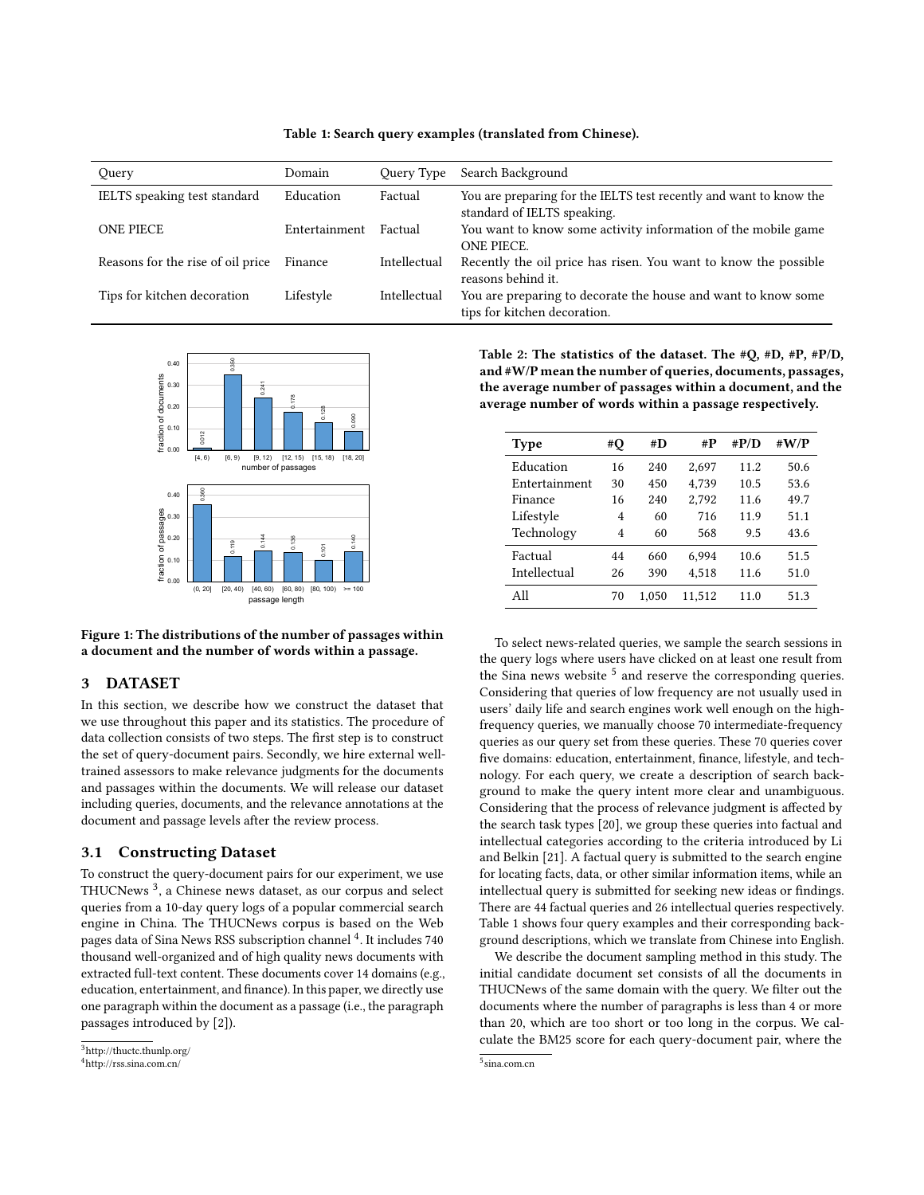<span id="page-2-0"></span>

| Query                             | Domain        | Query Type   | Search Background                                                                                 |
|-----------------------------------|---------------|--------------|---------------------------------------------------------------------------------------------------|
| IELTS speaking test standard      | Education     | Factual      | You are preparing for the IELTS test recently and want to know the<br>standard of IELTS speaking. |
| <b>ONE PIECE</b>                  | Entertainment | Factual      | You want to know some activity information of the mobile game<br>ONE PIECE.                       |
| Reasons for the rise of oil price | Finance       | Intellectual | Recently the oil price has risen. You want to know the possible<br>reasons behind it.             |
| Tips for kitchen decoration       | Lifestyle     | Intellectual | You are preparing to decorate the house and want to know some<br>tips for kitchen decoration.     |



<span id="page-2-2"></span>

Figure 1: The distributions of the number of passages within a document and the number of words within a passage.

#### 3 DATASET

In this section, we describe how we construct the dataset that we use throughout this paper and its statistics. The procedure of data collection consists of two steps. The first step is to construct the set of query-document pairs. Secondly, we hire external welltrained assessors to make relevance judgments for the documents and passages within the documents. We will release our dataset including queries, documents, and the relevance annotations at the document and passage levels after the review process.

#### 3.1 Constructing Dataset

To construct the query-document pairs for our experiment, we use THUCNews [3](#page-0-0) , a Chinese news dataset, as our corpus and select queries from a 10-day query logs of a popular commercial search engine in China. The THUCNews corpus is based on the Web pages data of Sina News RSS subscription channel <sup>[4](#page-0-0)</sup>. It includes 740 thousand well-organized and of high quality news documents with extracted full-text content. These documents cover 14 domains (e.g., education, entertainment, and finance). In this paper, we directly use one paragraph within the document as a passage (i.e., the paragraph passages introduced by [\[2\]](#page-9-3)).

<span id="page-2-1"></span>Table 2: The statistics of the dataset. The #Q, #D, #P, #P/D, and #W/P mean the number of queries, documents, passages, the average number of passages within a document, and the average number of words within a passage respectively.

| Type          | #Q | #D    | #P     | # $P/D$ | # $W/P$ |
|---------------|----|-------|--------|---------|---------|
| Education     | 16 | 240   | 2.697  | 11.2    | 50.6    |
| Entertainment | 30 | 450   | 4,739  | 10.5    | 53.6    |
| Finance       | 16 | 240   | 2.792  | 11.6    | 49.7    |
| Lifestyle     | 4  | 60    | 716    | 11.9    | 51.1    |
| Technology    | 4  | 60    | 568    | 9.5     | 43.6    |
| Factual       | 44 | 660   | 6.994  | 10.6    | 51.5    |
| Intellectual  | 26 | 390   | 4,518  | 11.6    | 51.0    |
| All           | 70 | 1.050 | 11,512 | 11.0    | 51.3    |

To select news-related queries, we sample the search sessions in the query logs where users have clicked on at least one result from the Sina news website  $5$  and reserve the corresponding queries. Considering that queries of low frequency are not usually used in users' daily life and search engines work well enough on the highfrequency queries, we manually choose 70 intermediate-frequency queries as our query set from these queries. These 70 queries cover five domains: education, entertainment, finance, lifestyle, and technology. For each query, we create a description of search background to make the query intent more clear and unambiguous. Considering that the process of relevance judgment is affected by the search task types [\[20\]](#page-9-10), we group these queries into factual and intellectual categories according to the criteria introduced by Li and Belkin [\[21\]](#page-9-35). A factual query is submitted to the search engine for locating facts, data, or other similar information items, while an intellectual query is submitted for seeking new ideas or findings. There are 44 factual queries and 26 intellectual queries respectively. Table [1](#page-2-0) shows four query examples and their corresponding background descriptions, which we translate from Chinese into English.

We describe the document sampling method in this study. The initial candidate document set consists of all the documents in THUCNews of the same domain with the query. We filter out the documents where the number of paragraphs is less than 4 or more than 20, which are too short or too long in the corpus. We calculate the BM25 score for each query-document pair, where the

<sup>3</sup><http://thuctc.thunlp.org/> <sup>4</sup><http://rss.sina.com.cn/>

<sup>5</sup> <sina.com.cn>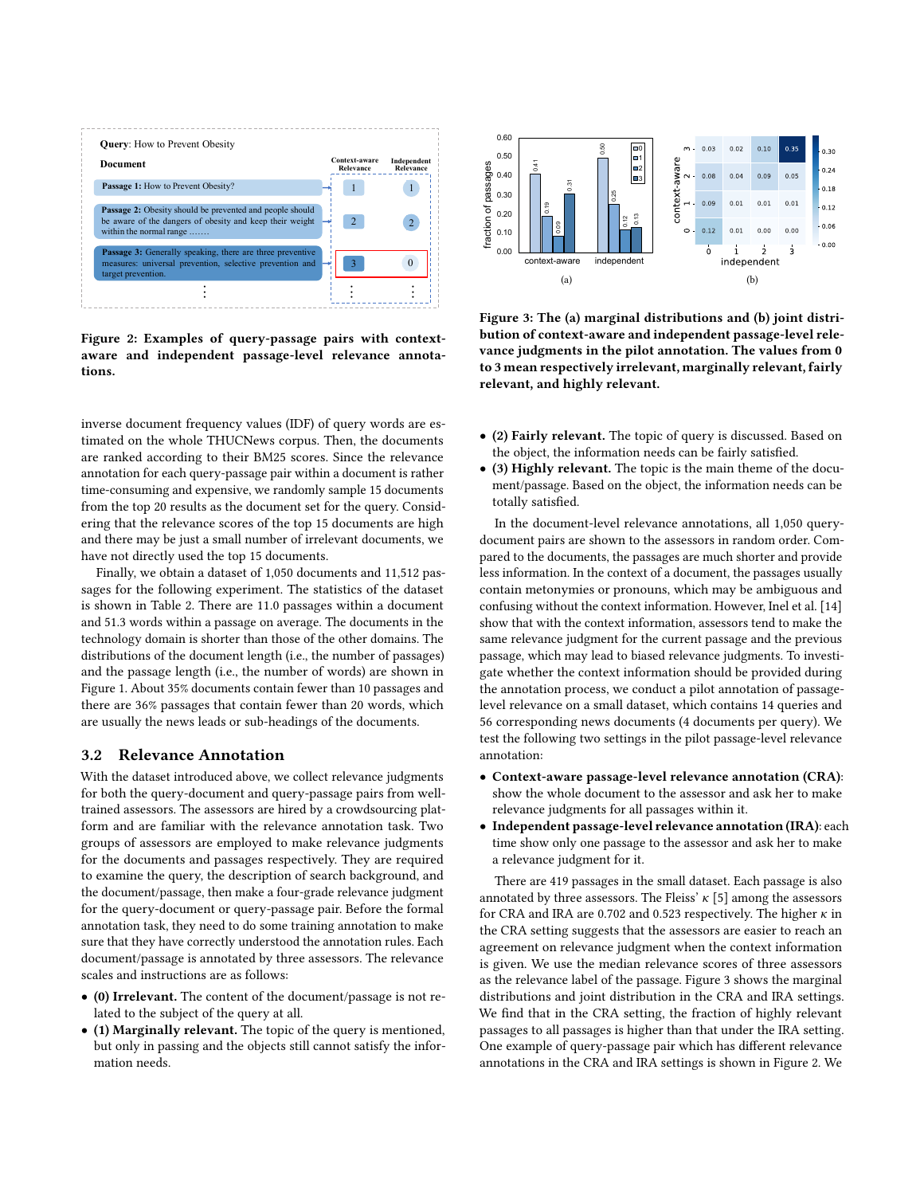<span id="page-3-1"></span>

Figure 2: Examples of query-passage pairs with contextaware and independent passage-level relevance annotations.

inverse document frequency values (IDF) of query words are estimated on the whole THUCNews corpus. Then, the documents are ranked according to their BM25 scores. Since the relevance annotation for each query-passage pair within a document is rather time-consuming and expensive, we randomly sample 15 documents from the top 20 results as the document set for the query. Considering that the relevance scores of the top 15 documents are high and there may be just a small number of irrelevant documents, we have not directly used the top 15 documents.

Finally, we obtain a dataset of 1,050 documents and 11,512 passages for the following experiment. The statistics of the dataset is shown in Table [2.](#page-2-1) There are 11.0 passages within a document and 51.3 words within a passage on average. The documents in the technology domain is shorter than those of the other domains. The distributions of the document length (i.e., the number of passages) and the passage length (i.e., the number of words) are shown in Figure [1.](#page-2-2) About 35% documents contain fewer than 10 passages and there are 36% passages that contain fewer than 20 words, which are usually the news leads or sub-headings of the documents.

#### 3.2 Relevance Annotation

With the dataset introduced above, we collect relevance judgments for both the query-document and query-passage pairs from welltrained assessors. The assessors are hired by a crowdsourcing platform and are familiar with the relevance annotation task. Two groups of assessors are employed to make relevance judgments for the documents and passages respectively. They are required to examine the query, the description of search background, and the document/passage, then make a four-grade relevance judgment for the query-document or query-passage pair. Before the formal annotation task, they need to do some training annotation to make sure that they have correctly understood the annotation rules. Each document/passage is annotated by three assessors. The relevance scales and instructions are as follows: From the three of the document is also as a small interest in the second of the second of the second of the second of the second of the second of the second of the second of the second of the second of the second of the s

- (0) Irrelevant. The content of the document/passage is not related to the subject of the query at all.
- (1) Marginally relevant. The topic of the query is mentioned, but only in passing and the objects still cannot satisfy the infor-

<span id="page-3-0"></span>

Figure 3: The (a) marginal distributions and (b) joint distribution of context-aware and independent passage-level relevance judgments in the pilot annotation. The values from 0 to 3 mean respectively irrelevant, marginally relevant, fairly relevant, and highly relevant.

- (2) Fairly relevant. The topic of query is discussed. Based on the object, the information needs can be fairly satisfied.
- (3) Highly relevant. The topic is the main theme of the document/passage. Based on the object, the information needs can be totally satisfied.

In the document-level relevance annotations, all 1,050 querydocument pairs are shown to the assessors in random order. Compared to the documents, the passages are much shorter and provide less information. In the context of a document, the passages usually contain metonymies or pronouns, which may be ambiguous and confusing without the context information. However, Inel et al. [\[14\]](#page-9-9) show that with the context information, assessors tend to make the same relevance judgment for the current passage and the previous passage, which may lead to biased relevance judgments. To investigate whether the context information should be provided during the annotation process, we conduct a pilot annotation of passagelevel relevance on a small dataset, which contains 14 queries and 56 corresponding news documents (4 documents per query). We test the following two settings in the pilot passage-level relevance annotation:

- Context-aware passage-level relevance annotation (CRA): show the whole document to the assessor and ask her to make relevance judgments for all passages within it.
- Independent passage-level relevance annotation (IRA): each time show only one passage to the assessor and ask her to make a relevance judgment for it.

There are 419 passages in the small dataset. Each passage is also annotated by three assessors. The Fleiss'  $\kappa$  [\[5\]](#page-9-36) among the assessors for CRA and IRA are 0.702 and 0.523 respectively. The higher  $\kappa$  in the CRA setting suggests that the assessors are easier to reach an agreement on relevance judgment when the context information is given. We use the median relevance scores of three assessors as the relevance label of the passage. Figure [3](#page-3-0) shows the marginal distributions and joint distribution in the CRA and IRA settings. We find that in the CRA setting, the fraction of highly relevant passages to all passages is higher than that under the IRA setting. One example of query-passage pair which has different relevance annotations in the CRA and IRA settings is shown in Figure [2.](#page-3-1) We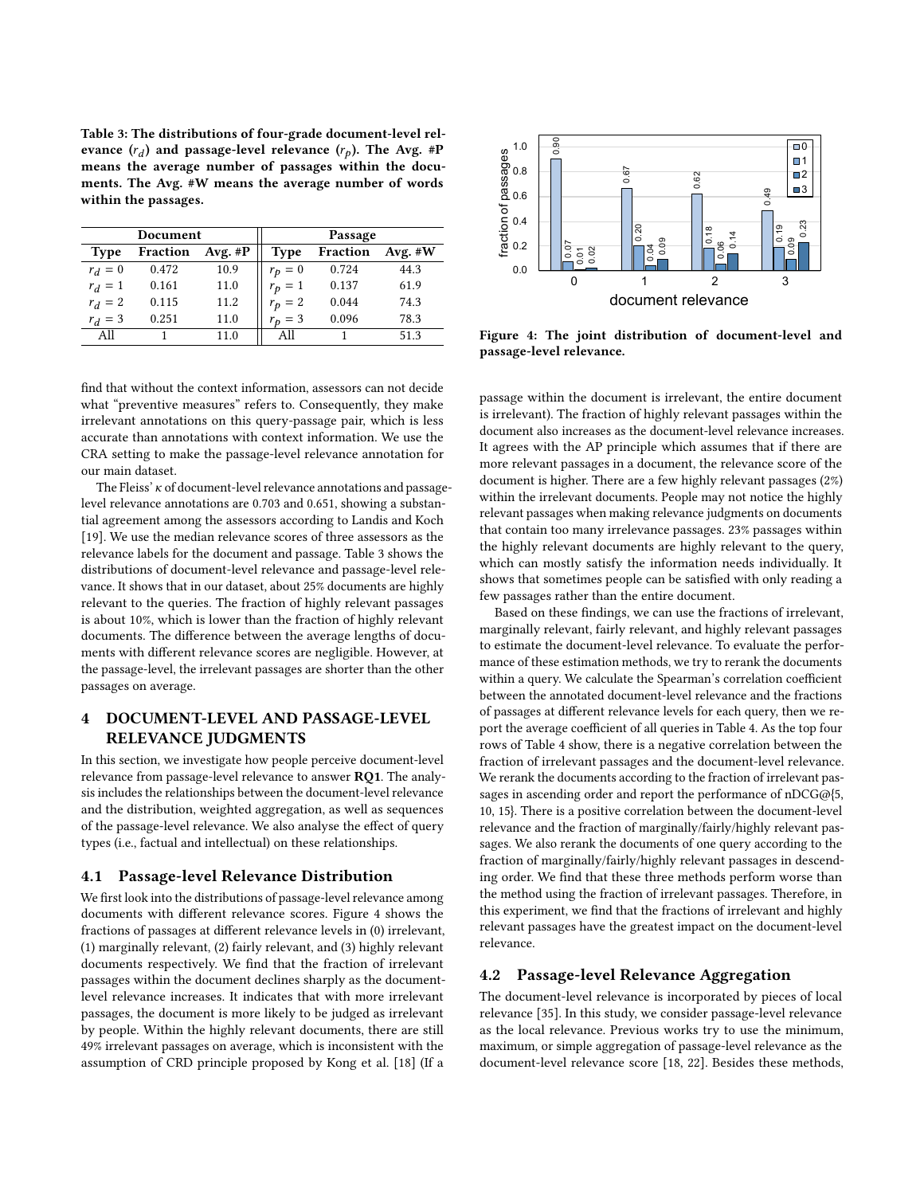<span id="page-4-0"></span>Table 3: The distributions of four-grade document-level relevance  $(r_d)$  and passage-level relevance  $(r_p)$ . The Avg. #P means the average number of passages within the documents. The Avg. #W means the average number of words within the passages.

| Document    |          |            | Passage     |          |           |  |
|-------------|----------|------------|-------------|----------|-----------|--|
| <b>Type</b> | Fraction | Avg. $\#P$ | <b>Type</b> | Fraction | Avg. $#W$ |  |
| $r_d = 0$   | 0.472    | 10.9       | $r_p = 0$   | 0.724    | 44.3      |  |
| $r_d = 1$   | 0.161    | 11.0       | $r_p = 1$   | 0.137    | 61.9      |  |
| $r_d = 2$   | 0.115    | 11.2       | $r_p = 2$   | 0.044    | 74.3      |  |
| $r_d = 3$   | 0.251    | 11.0       | $r_p = 3$   | 0.096    | 78.3      |  |
| All         |          | 11.0       | All         |          | 51.3      |  |

find that without the context information, assessors can not decide what "preventive measures" refers to. Consequently, they make irrelevant annotations on this query-passage pair, which is less accurate than annotations with context information. We use the CRA setting to make the passage-level relevance annotation for our main dataset.

The Fleiss'  $\kappa$  of document-level relevance annotations and passagelevel relevance annotations are 0.703 and 0.651, showing a substantial agreement among the assessors according to Landis and Koch [\[19\]](#page-9-37). We use the median relevance scores of three assessors as the relevance labels for the document and passage. Table [3](#page-4-0) shows the distributions of document-level relevance and passage-level relevance. It shows that in our dataset, about 25% documents are highly relevant to the queries. The fraction of highly relevant passages is about 10%, which is lower than the fraction of highly relevant documents. The difference between the average lengths of documents with different relevance scores are negligible. However, at the passage-level, the irrelevant passages are shorter than the other passages on average. ervance (c) and passupe lived visit in the second by CR and the second by CR and the second by CR and the second by CR and the second by CR and the second by CR and the second by CR and the second by CR and the second by

## 4 DOCUMENT-LEVEL AND PASSAGE-LEVEL RELEVANCE JUDGMENTS

In this section, we investigate how people perceive document-level relevance from passage-level relevance to answer RQ1. The analysis includes the relationships between the document-level relevance and the distribution, weighted aggregation, as well as sequences of the passage-level relevance. We also analyse the effect of query types (i.e., factual and intellectual) on these relationships.

#### 4.1 Passage-level Relevance Distribution

We first look into the distributions of passage-level relevance among documents with different relevance scores. Figure [4](#page-4-1) shows the fractions of passages at different relevance levels in (0) irrelevant, (1) marginally relevant, (2) fairly relevant, and (3) highly relevant documents respectively. We find that the fraction of irrelevant passages within the document declines sharply as the documentlevel relevance increases. It indicates that with more irrelevant passages, the document is more likely to be judged as irrelevant by people. Within the highly relevant documents, there are still 49% irrelevant passages on average, which is inconsistent with the

<span id="page-4-1"></span>

Figure 4: The joint distribution of document-level and passage-level relevance.

passage within the document is irrelevant, the entire document is irrelevant). The fraction of highly relevant passages within the document also increases as the document-level relevance increases. It agrees with the AP principle which assumes that if there are more relevant passages in a document, the relevance score of the document is higher. There are a few highly relevant passages (2%) within the irrelevant documents. People may not notice the highly relevant passages when making relevance judgments on documents that contain too many irrelevance passages. 23% passages within the highly relevant documents are highly relevant to the query, which can mostly satisfy the information needs individually. It shows that sometimes people can be satisfied with only reading a few passages rather than the entire document.

Based on these findings, we can use the fractions of irrelevant, marginally relevant, fairly relevant, and highly relevant passages to estimate the document-level relevance. To evaluate the performance of these estimation methods, we try to rerank the documents within a query. We calculate the Spearman's correlation coefficient between the annotated document-level relevance and the fractions of passages at different relevance levels for each query, then we re-port the average coefficient of all queries in Table [4.](#page-5-0) As the top four rows of Table [4](#page-5-0) show, there is a negative correlation between the fraction of irrelevant passages and the document-level relevance. We rerank the documents according to the fraction of irrelevant passages in ascending order and report the performance of nDCG@{5, 10, 15}. There is a positive correlation between the document-level relevance and the fraction of marginally/fairly/highly relevant passages. We also rerank the documents of one query according to the fraction of marginally/fairly/highly relevant passages in descending order. We find that these three methods perform worse than the method using the fraction of irrelevant passages. Therefore, in this experiment, we find that the fractions of irrelevant and highly relevant passages have the greatest impact on the document-level relevance.

#### <span id="page-4-2"></span>4.2 Passage-level Relevance Aggregation

The document-level relevance is incorporated by pieces of local relevance [\[35\]](#page-9-11). In this study, we consider passage-level relevance as the local relevance. Previous works try to use the minimum, maximum, or simple aggregation of passage-level relevance as the document-level relevance score [\[18,](#page-9-7) [22\]](#page-9-6). Besides these methods,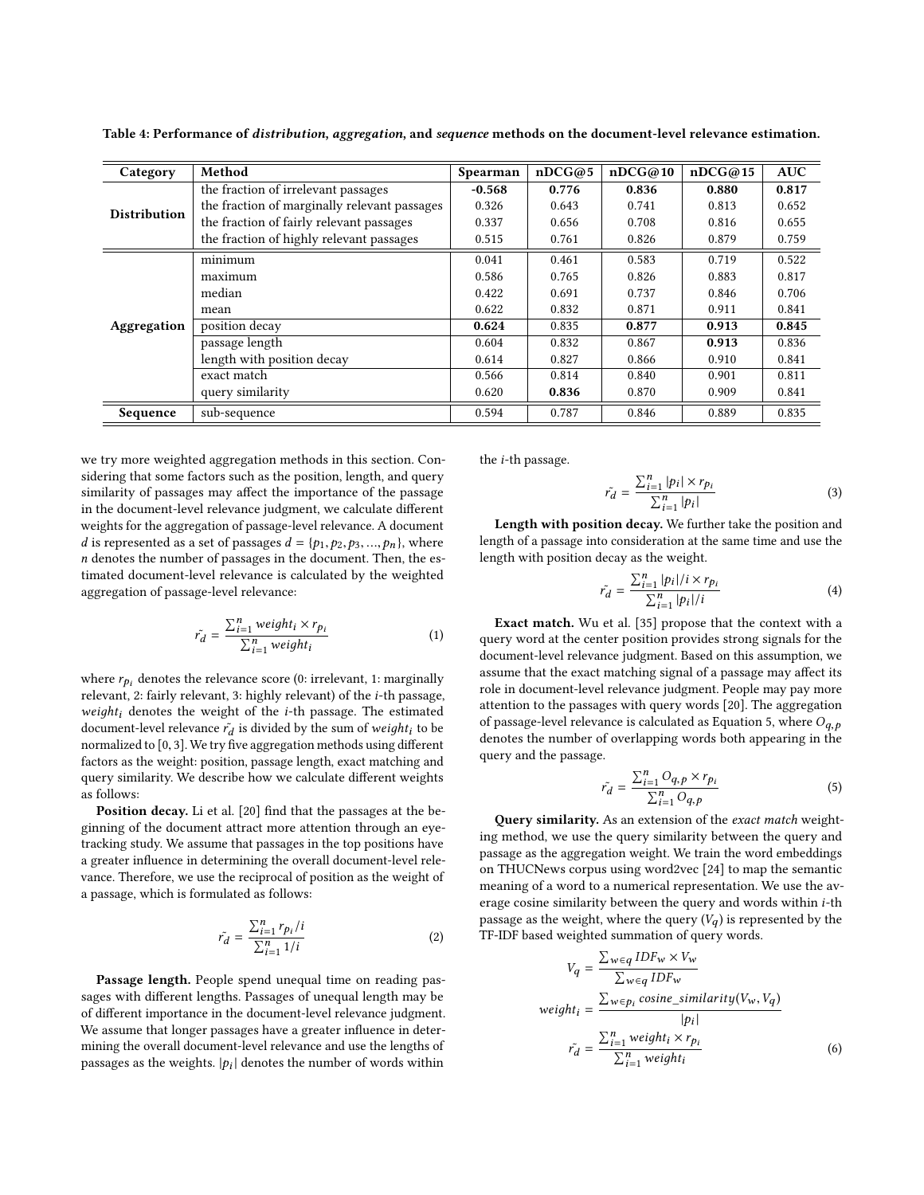<span id="page-5-0"></span>Table 4: Performance of distribution, aggregation, and sequence methods on the document-level relevance estimation.

| Category            | Method                                       | Spearman | nDCG@5 | nDCG@10 | nDCG@15 | <b>AUC</b> |
|---------------------|----------------------------------------------|----------|--------|---------|---------|------------|
|                     | the fraction of irrelevant passages          | $-0.568$ | 0.776  | 0.836   | 0.880   | 0.817      |
| <b>Distribution</b> | the fraction of marginally relevant passages | 0.326    | 0.643  | 0.741   | 0.813   | 0.652      |
|                     | the fraction of fairly relevant passages     | 0.337    | 0.656  | 0.708   | 0.816   | 0.655      |
|                     | the fraction of highly relevant passages     | 0.515    | 0.761  | 0.826   | 0.879   | 0.759      |
|                     | minimum                                      | 0.041    | 0.461  | 0.583   | 0.719   | 0.522      |
|                     | maximum                                      | 0.586    | 0.765  | 0.826   | 0.883   | 0.817      |
|                     | median                                       | 0.422    | 0.691  | 0.737   | 0.846   | 0.706      |
|                     | mean                                         | 0.622    | 0.832  | 0.871   | 0.911   | 0.841      |
| Aggregation         | position decay                               | 0.624    | 0.835  | 0.877   | 0.913   | 0.845      |
|                     | passage length                               | 0.604    | 0.832  | 0.867   | 0.913   | 0.836      |
|                     | length with position decay                   | 0.614    | 0.827  | 0.866   | 0.910   | 0.841      |
|                     | exact match                                  | 0.566    | 0.814  | 0.840   | 0.901   | 0.811      |
|                     | query similarity                             | 0.620    | 0.836  | 0.870   | 0.909   | 0.841      |
| Sequence            | sub-sequence                                 | 0.594    | 0.787  | 0.846   | 0.889   | 0.835      |

we try more weighted aggregation methods in this section. Considering that some factors such as the position, length, and query similarity of passages may affect the importance of the passage in the document-level relevance judgment, we calculate different weights for the aggregation of passage-level relevance. A document d is represented as a set of passages  $d = \{p_1, p_2, p_3, ..., p_n\}$ , where n denotes the number of passages in the document. Then, the estimated document-level relevance is calculated by the weighted aggregation of passage-level relevance:

$$
\tilde{r_d} = \frac{\sum_{i=1}^{n} weight_i \times r_{pi}}{\sum_{i=1}^{n} weight_i}
$$
\n(1)

where  $r_{p_i}$  denotes the relevance score (0: irrelevant, 1: marginally relevant, 2: fairly relevant, 3: highly relevant) of the i-th passage, weight<sub>i</sub> denotes the weight of the  $i$ -th passage. The estimated document-level relevance  $\tilde{r_d}$  is divided by the sum of wei $ght_i$  to be normalized to  $[0, 3]$ . We try five aggregation methods using different factors as the weight: position, passage length, exact matching and query similarity. We describe how we calculate different weights as follows:

Position decay. Li et al. [\[20\]](#page-9-10) find that the passages at the beginning of the document attract more attention through an eyetracking study. We assume that passages in the top positions have a greater influence in determining the overall document-level relevance. Therefore, we use the reciprocal of position as the weight of a passage, which is formulated as follows:

$$
\tilde{r_d} = \frac{\sum_{i=1}^{n} r_{p_i}/i}{\sum_{i=1}^{n} 1/i} \tag{2}
$$

Passage length. People spend unequal time on reading passages with different lengths. Passages of unequal length may be of different importance in the document-level relevance judgment. We assume that longer passages have a greater influence in determining the overall document-level relevance and use the lengths of passages as the weights.  $|p_i|$  denotes the number of words within

the i-th passage.

$$
\tilde{r_d} = \frac{\sum_{i=1}^n |p_i| \times r_{p_i}}{\sum_{i=1}^n |p_i|} \tag{3}
$$

Length with position decay. We further take the position and length of a passage into consideration at the same time and use the length with position decay as the weight.

$$
\tilde{r_d} = \frac{\sum_{i=1}^{n} |p_i| / i \times r_{pi}}{\sum_{i=1}^{n} |p_i| / i}
$$
\n(4)

Exact match. Wu et al. [\[35\]](#page-9-11) propose that the context with a query word at the center position provides strong signals for the document-level relevance judgment. Based on this assumption, we assume that the exact matching signal of a passage may affect its role in document-level relevance judgment. People may pay more attention to the passages with query words [\[20\]](#page-9-10). The aggregation of passage-level relevance is calculated as Equation [5,](#page-5-1) where  $O_{q,p}$ denotes the number of overlapping words both appearing in the query and the passage.

<span id="page-5-1"></span>
$$
\tilde{r_d} = \frac{\sum_{i=1}^{n} O_{q,p} \times r_{p_i}}{\sum_{i=1}^{n} O_{q,p}}
$$
\n
$$
\tag{5}
$$

Query similarity. As an extension of the exact match weighting method, we use the query similarity between the query and passage as the aggregation weight. We train the word embeddings on THUCNews corpus using word2vec [\[24\]](#page-9-38) to map the semantic meaning of a word to a numerical representation. We use the average cosine similarity between the query and words within i-th passage as the weight, where the query  $(V_a)$  is represented by the TF-IDF based weighted summation of query words.

$$
V_q = \frac{\sum_{w \in q} IDF_w \times V_w}{\sum_{w \in q} IDF_w}
$$
  
weight<sub>i</sub> =  $\frac{\sum_{w \in p_i} cosine\_similarity(V_w, V_q)}{|p_i|}$   

$$
\tilde{r_d} = \frac{\sum_{i=1}^n weight_i \times r_{p_i}}{\sum_{i=1}^n weight_i}
$$
 (6)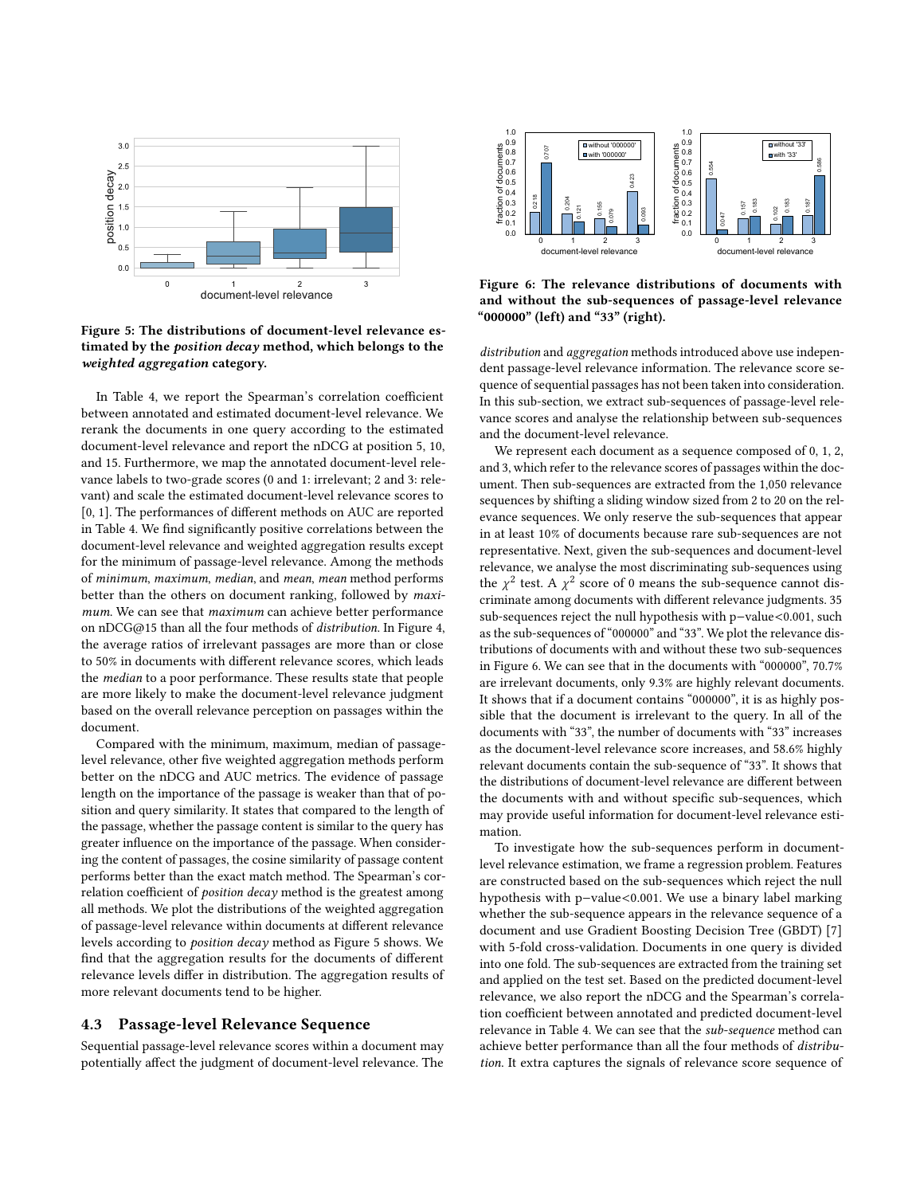<span id="page-6-0"></span>

Figure 5: The distributions of document-level relevance estimated by the position decay method, which belongs to the weighted aggregation category.

In Table [4,](#page-5-0) we report the Spearman's correlation coefficient between annotated and estimated document-level relevance. We rerank the documents in one query according to the estimated document-level relevance and report the nDCG at position 5, 10, and 15. Furthermore, we map the annotated document-level relevance labels to two-grade scores (0 and 1: irrelevant; 2 and 3: relevant) and scale the estimated document-level relevance scores to [0, 1]. The performances of different methods on AUC are reported in Table [4.](#page-5-0) We find significantly positive correlations between the document-level relevance and weighted aggregation results except for the minimum of passage-level relevance. Among the methods of minimum, maximum, median, and mean, mean method performs better than the others on document ranking, followed by maximum. We can see that maximum can achieve better performance on nDCG@15 than all the four methods of distribution. In Figure [4,](#page-4-1) the average ratios of irrelevant passages are more than or close to 50% in documents with different relevance scores, which leads the median to a poor performance. These results state that people are more likely to make the document-level relevance judgment based on the overall relevance perception on passages within the document. Example 18 a control of the set the set of the set of the set of the set of the set of the set of the set of the set of the set of the set of the set of the set of the set of the set of the set of the set of the set of th

Compared with the minimum, maximum, median of passagelevel relevance, other five weighted aggregation methods perform better on the nDCG and AUC metrics. The evidence of passage length on the importance of the passage is weaker than that of position and query similarity. It states that compared to the length of the passage, whether the passage content is similar to the query has greater influence on the importance of the passage. When considering the content of passages, the cosine similarity of passage content performs better than the exact match method. The Spearman's correlation coefficient of *position decay* method is the greatest among all methods. We plot the distributions of the weighted aggregation of passage-level relevance within documents at different relevance levels according to position decay method as Figure [5](#page-6-0) shows. We find that the aggregation results for the documents of different relevance levels differ in distribution. The aggregation results of more relevant documents tend to be higher.

#### 4.3 Passage-level Relevance Sequence

Sequential passage-level relevance scores within a document may

<span id="page-6-1"></span>

Figure 6: The relevance distributions of documents with and without the sub-sequences of passage-level relevance "000000" (left) and "33" (right).

distribution and aggregation methods introduced above use independent passage-level relevance information. The relevance score sequence of sequential passages has not been taken into consideration. In this sub-section, we extract sub-sequences of passage-level relevance scores and analyse the relationship between sub-sequences and the document-level relevance.

We represent each document as a sequence composed of 0, 1, 2, and 3, which refer to the relevance scores of passages within the document. Then sub-sequences are extracted from the 1,050 relevance sequences by shifting a sliding window sized from 2 to 20 on the relevance sequences. We only reserve the sub-sequences that appear in at least 10% of documents because rare sub-sequences are not representative. Next, given the sub-sequences and document-level relevance, we analyse the most discriminating sub-sequences using the  $\chi^2$  test. A  $\chi^2$  score of 0 means the sub-sequence cannot discriminate among documents with different relevance judgments. 35 sub-sequences reject the null hypothesis with p−value<0.001, such as the sub-sequences of "000000" and "33". We plot the relevance distributions of documents with and without these two sub-sequences in Figure [6.](#page-6-1) We can see that in the documents with "000000", 70.7% are irrelevant documents, only 9.3% are highly relevant documents. It shows that if a document contains "000000", it is as highly possible that the document is irrelevant to the query. In all of the documents with "33", the number of documents with "33" increases as the document-level relevance score increases, and 58.6% highly relevant documents contain the sub-sequence of "33". It shows that the distributions of document-level relevance are different between the documents with and without specific sub-sequences, which may provide useful information for document-level relevance estimation.

To investigate how the sub-sequences perform in documentlevel relevance estimation, we frame a regression problem. Features are constructed based on the sub-sequences which reject the null hypothesis with p−value<0.001. We use a binary label marking whether the sub-sequence appears in the relevance sequence of a document and use Gradient Boosting Decision Tree (GBDT) [\[7\]](#page-9-39) with 5-fold cross-validation. Documents in one query is divided into one fold. The sub-sequences are extracted from the training set and applied on the test set. Based on the predicted document-level relevance, we also report the nDCG and the Spearman's correlation coefficient between annotated and predicted document-level relevance in Table [4.](#page-5-0) We can see that the sub-sequence method can achieve better performance than all the four methods of distribution. It extra captures the signals of relevance score sequence of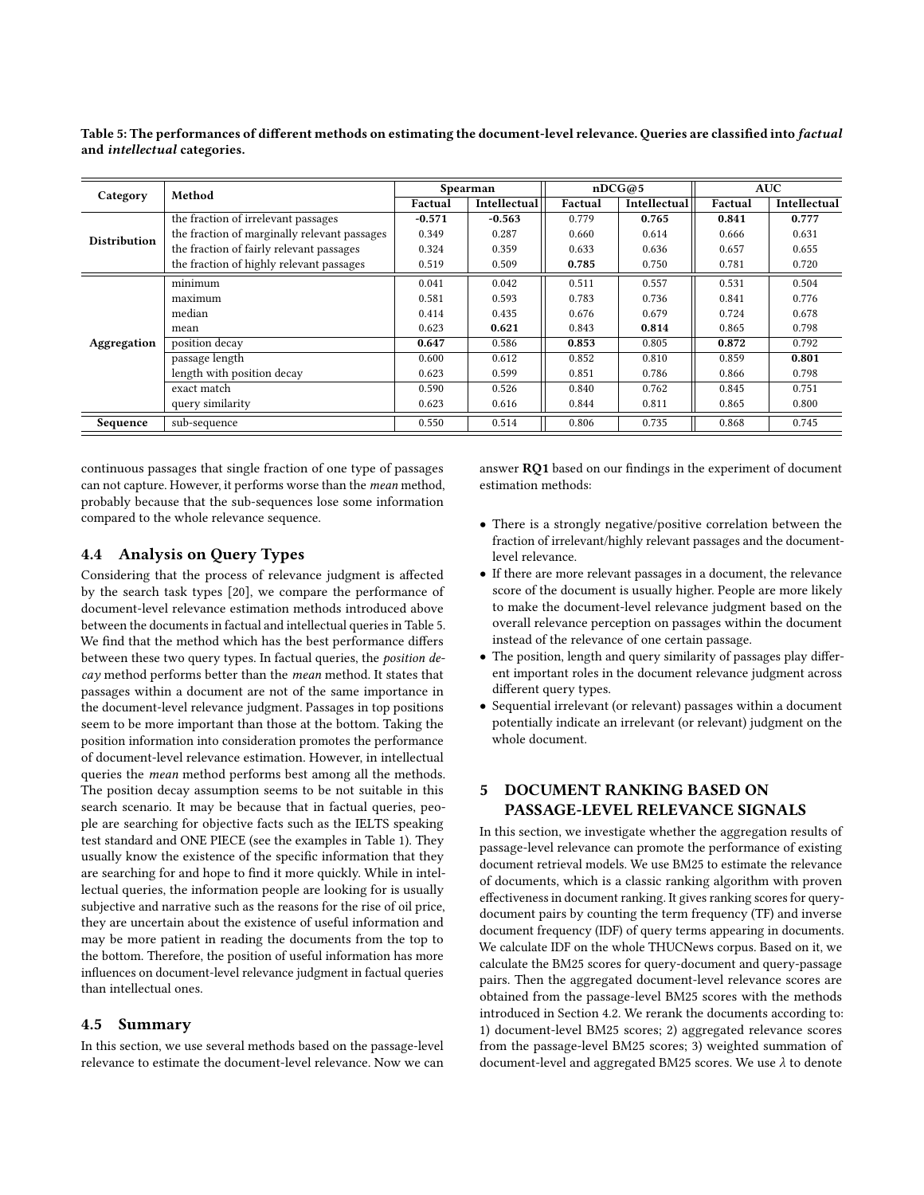<span id="page-7-0"></span>Table 5: The performances of different methods on estimating the document-level relevance. Queries are classified into factual and intellectual categories.

|                     | Method                                       | Spearman |              | nDCG@5  |              | <b>AUC</b> |              |
|---------------------|----------------------------------------------|----------|--------------|---------|--------------|------------|--------------|
| Category            |                                              | Factual  | Intellectual | Factual | Intellectual | Factual    | Intellectual |
|                     | the fraction of irrelevant passages          | $-0.571$ | $-0.563$     | 0.779   | 0.765        | 0.841      | 0.777        |
| <b>Distribution</b> | the fraction of marginally relevant passages | 0.349    | 0.287        | 0.660   | 0.614        | 0.666      | 0.631        |
|                     | the fraction of fairly relevant passages     | 0.324    | 0.359        | 0.633   | 0.636        | 0.657      | 0.655        |
|                     | the fraction of highly relevant passages     | 0.519    | 0.509        | 0.785   | 0.750        | 0.781      | 0.720        |
| Aggregation         | minimum                                      | 0.041    | 0.042        | 0.511   | 0.557        | 0.531      | 0.504        |
|                     | maximum                                      | 0.581    | 0.593        | 0.783   | 0.736        | 0.841      | 0.776        |
|                     | median                                       | 0.414    | 0.435        | 0.676   | 0.679        | 0.724      | 0.678        |
|                     | mean                                         | 0.623    | 0.621        | 0.843   | 0.814        | 0.865      | 0.798        |
|                     | position decay                               | 0.647    | 0.586        | 0.853   | 0.805        | 0.872      | 0.792        |
|                     | passage length                               | 0.600    | 0.612        | 0.852   | 0.810        | 0.859      | 0.801        |
|                     | length with position decay                   | 0.623    | 0.599        | 0.851   | 0.786        | 0.866      | 0.798        |
|                     | exact match                                  | 0.590    | 0.526        | 0.840   | 0.762        | 0.845      | 0.751        |
|                     | query similarity                             | 0.623    | 0.616        | 0.844   | 0.811        | 0.865      | 0.800        |
| Sequence            | sub-sequence                                 | 0.550    | 0.514        | 0.806   | 0.735        | 0.868      | 0.745        |

continuous passages that single fraction of one type of passages can not capture. However, it performs worse than the mean method, probably because that the sub-sequences lose some information compared to the whole relevance sequence.

### 4.4 Analysis on Query Types

Considering that the process of relevance judgment is affected by the search task types [\[20\]](#page-9-10), we compare the performance of document-level relevance estimation methods introduced above between the documents in factual and intellectual queries in Table [5.](#page-7-0) We find that the method which has the best performance differs between these two query types. In factual queries, the position decay method performs better than the mean method. It states that passages within a document are not of the same importance in the document-level relevance judgment. Passages in top positions seem to be more important than those at the bottom. Taking the position information into consideration promotes the performance of document-level relevance estimation. However, in intellectual queries the mean method performs best among all the methods. The position decay assumption seems to be not suitable in this search scenario. It may be because that in factual queries, people are searching for objective facts such as the IELTS speaking test standard and ONE PIECE (see the examples in Table [1\)](#page-2-0). They usually know the existence of the specific information that they are searching for and hope to find it more quickly. While in intellectual queries, the information people are looking for is usually subjective and narrative such as the reasons for the rise of oil price, they are uncertain about the existence of useful information and may be more patient in reading the documents from the top to the bottom. Therefore, the position of useful information has more influences on document-level relevance judgment in factual queries than intellectual ones.

#### 4.5 Summary

In this section, we use several methods based on the passage-level relevance to estimate the document-level relevance. Now we can answer  $RQ1$  based on our findings in the experiment of document estimation methods:

- There is a strongly negative/positive correlation between the fraction of irrelevant/highly relevant passages and the documentlevel relevance.
- If there are more relevant passages in a document, the relevance score of the document is usually higher. People are more likely to make the document-level relevance judgment based on the overall relevance perception on passages within the document instead of the relevance of one certain passage.
- The position, length and query similarity of passages play different important roles in the document relevance judgment across different query types.
- Sequential irrelevant (or relevant) passages within a document potentially indicate an irrelevant (or relevant) judgment on the whole document.

## 5 DOCUMENT RANKING BASED ON PASSAGE-LEVEL RELEVANCE SIGNALS

In this section, we investigate whether the aggregation results of passage-level relevance can promote the performance of existing document retrieval models. We use BM25 to estimate the relevance of documents, which is a classic ranking algorithm with proven effectiveness in document ranking. It gives ranking scores for querydocument pairs by counting the term frequency (TF) and inverse document frequency (IDF) of query terms appearing in documents. We calculate IDF on the whole THUCNews corpus. Based on it, we calculate the BM25 scores for query-document and query-passage pairs. Then the aggregated document-level relevance scores are obtained from the passage-level BM25 scores with the methods introduced in Section [4.2.](#page-4-2) We rerank the documents according to: 1) document-level BM25 scores; 2) aggregated relevance scores from the passage-level BM25 scores; 3) weighted summation of document-level and aggregated BM25 scores. We use λ to denote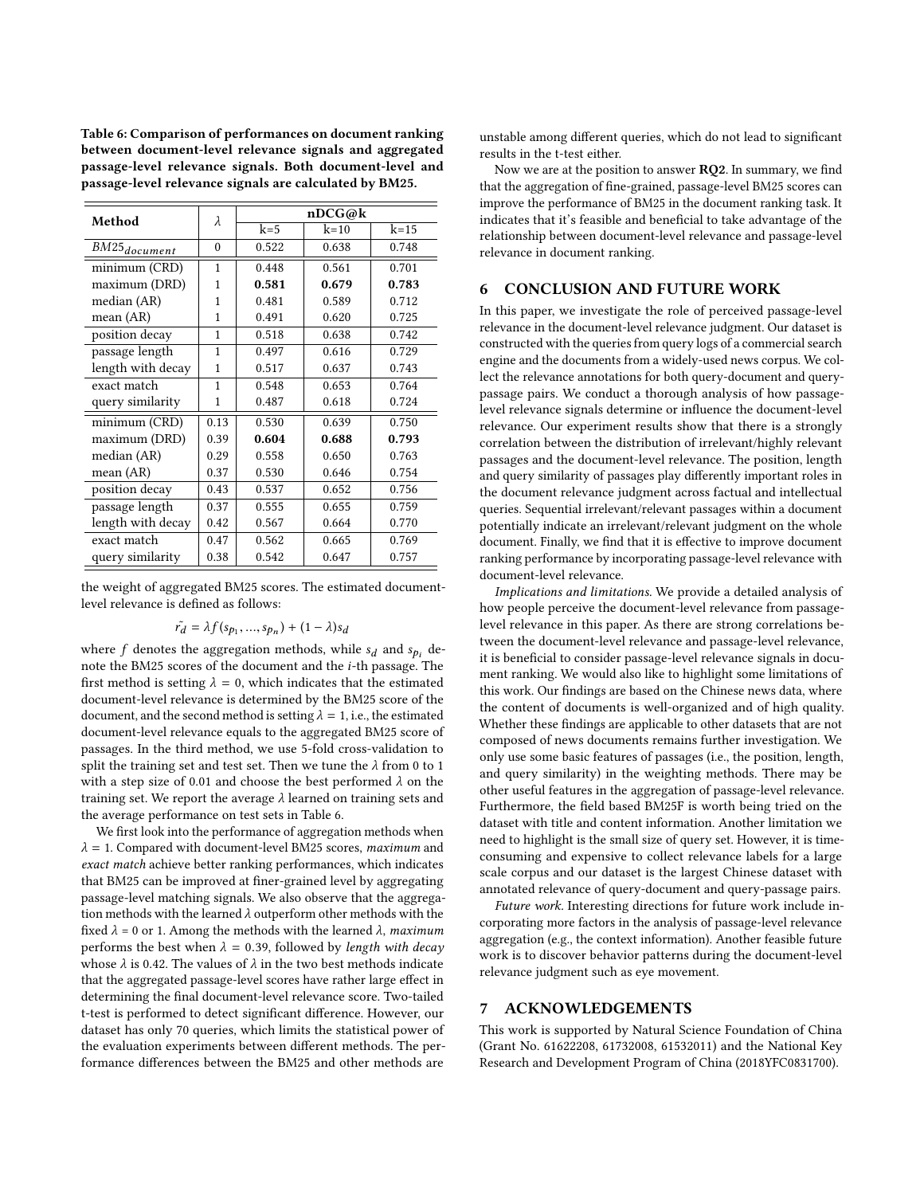<span id="page-8-0"></span>Table 6: Comparison of performances on document ranking between document-level relevance signals and aggregated passage-level relevance signals. Both document-level and passage-level relevance signals are calculated by BM25.

| Method            | λ            | nDCG@k |        |        |  |  |
|-------------------|--------------|--------|--------|--------|--|--|
|                   |              | $k=5$  | $k=10$ | $k=15$ |  |  |
| $BM25_{document}$ | $\Omega$     | 0.522  | 0.638  | 0.748  |  |  |
| minimum (CRD)     | $\mathbf{1}$ | 0.448  | 0.561  | 0.701  |  |  |
| maximum (DRD)     | 1            | 0.581  | 0.679  | 0.783  |  |  |
| median (AR)       | $\mathbf{1}$ | 0.481  | 0.589  | 0.712  |  |  |
| mean (AR)         | $\mathbf{1}$ | 0.491  | 0.620  | 0.725  |  |  |
| position decay    | $\mathbf{1}$ | 0.518  | 0.638  | 0.742  |  |  |
| passage length    | $\mathbf{1}$ | 0.497  | 0.616  | 0.729  |  |  |
| length with decay | 1            | 0.517  | 0.637  | 0.743  |  |  |
| exact match       | 1            | 0.548  | 0.653  | 0.764  |  |  |
| query similarity  | 1            | 0.487  | 0.618  | 0.724  |  |  |
| minimum (CRD)     | 0.13         | 0.530  | 0.639  | 0.750  |  |  |
| maximum (DRD)     | 0.39         | 0.604  | 0.688  | 0.793  |  |  |
| median (AR)       | 0.29         | 0.558  | 0.650  | 0.763  |  |  |
| mean $(AR)$       | 0.37         | 0.530  | 0.646  | 0.754  |  |  |
| position decay    | 0.43         | 0.537  | 0.652  | 0.756  |  |  |
| passage length    | 0.37         | 0.555  | 0.655  | 0.759  |  |  |
| length with decay | 0.42         | 0.567  | 0.664  | 0.770  |  |  |
| exact match       | 0.47         | 0.562  | 0.665  | 0.769  |  |  |
| query similarity  | 0.38         | 0.542  | 0.647  | 0.757  |  |  |

the weight of aggregated BM25 scores. The estimated documentlevel relevance is defined as follows:

$$
\tilde{r_d} = \lambda f(s_{p_1}, ..., s_{p_n}) + (1 - \lambda)s_d
$$

where  $f$  denotes the aggregation methods, while  $s_d$  and  $s_{p_i}$  denote the BM25 scores of the document and the i-th passage. The first method is setting  $\lambda = 0$ , which indicates that the estimated document-level relevance is determined by the BM25 score of the document, and the second method is setting  $\lambda = 1$ , i.e., the estimated document-level relevance equals to the aggregated BM25 score of passages. In the third method, we use 5-fold cross-validation to split the training set and test set. Then we tune the  $\lambda$  from 0 to 1 with a step size of 0.01 and choose the best performed  $\lambda$  on the training set. We report the average  $\lambda$  learned on training sets and the average performance on test sets in Table [6.](#page-8-0)

We first look into the performance of aggregation methods when  $\lambda = 1$ . Compared with document-level BM25 scores, maximum and exact match achieve better ranking performances, which indicates that BM25 can be improved at finer-grained level by aggregating passage-level matching signals. We also observe that the aggregation methods with the learned  $\lambda$  outperform other methods with the fixed  $\lambda = 0$  or 1. Among the methods with the learned  $\lambda$ , maximum performs the best when  $\lambda = 0.39$ , followed by length with decay whose  $\lambda$  is 0.42. The values of  $\lambda$  in the two best methods indicate that the aggregated passage-level scores have rather large effect in determining the final document-level relevance score. Two-tailed t-test is performed to detect significant difference. However, our dataset has only 70 queries, which limits the statistical power of the evaluation experiments between different methods. The performance differences between the BM25 and other methods are

unstable among different queries, which do not lead to significant results in the t-test either.

Now we are at the position to answer  $RQ2$ . In summary, we find that the aggregation of fine-grained, passage-level BM25 scores can improve the performance of BM25 in the document ranking task. It indicates that it's feasible and beneficial to take advantage of the relationship between document-level relevance and passage-level relevance in document ranking.

#### 6 CONCLUSION AND FUTURE WORK

In this paper, we investigate the role of perceived passage-level relevance in the document-level relevance judgment. Our dataset is constructed with the queries from query logs of a commercial search engine and the documents from a widely-used news corpus. We collect the relevance annotations for both query-document and querypassage pairs. We conduct a thorough analysis of how passagelevel relevance signals determine or influence the document-level relevance. Our experiment results show that there is a strongly correlation between the distribution of irrelevant/highly relevant passages and the document-level relevance. The position, length and query similarity of passages play differently important roles in the document relevance judgment across factual and intellectual queries. Sequential irrelevant/relevant passages within a document potentially indicate an irrelevant/relevant judgment on the whole document. Finally, we find that it is effective to improve document ranking performance by incorporating passage-level relevance with document-level relevance.

Implications and limitations. We provide a detailed analysis of how people perceive the document-level relevance from passagelevel relevance in this paper. As there are strong correlations between the document-level relevance and passage-level relevance, it is beneficial to consider passage-level relevance signals in document ranking. We would also like to highlight some limitations of this work. Our findings are based on the Chinese news data, where the content of documents is well-organized and of high quality. Whether these findings are applicable to other datasets that are not composed of news documents remains further investigation. We only use some basic features of passages (i.e., the position, length, and query similarity) in the weighting methods. There may be other useful features in the aggregation of passage-level relevance. Furthermore, the field based BM25F is worth being tried on the dataset with title and content information. Another limitation we need to highlight is the small size of query set. However, it is timeconsuming and expensive to collect relevance labels for a large scale corpus and our dataset is the largest Chinese dataset with annotated relevance of query-document and query-passage pairs.

Future work. Interesting directions for future work include incorporating more factors in the analysis of passage-level relevance aggregation (e.g., the context information). Another feasible future work is to discover behavior patterns during the document-level relevance judgment such as eye movement.

#### 7 ACKNOWLEDGEMENTS

This work is supported by Natural Science Foundation of China (Grant No. 61622208, 61732008, 61532011) and the National Key Research and Development Program of China (2018YFC0831700).